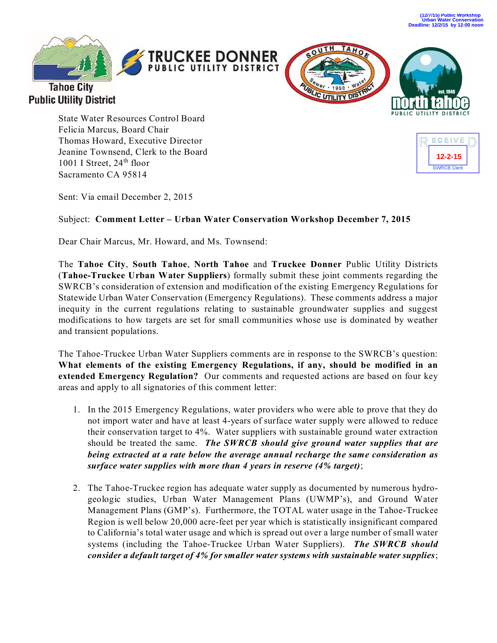**(12/7/15) Public Workshop Urban Water Conservation Deadline: 12/2/15 by 12:00 noon**



**Public Utility District** 





State Water Resources Control Board Felicia Marcus, Board Chair Thomas Howard, Executive Director Jeanine Townsend, Clerk to the Board 1001 I Street, 24<sup>th</sup> floor Sacramento CA 95814



Sent: Via email December 2, 2015

## Subject: **Comment Letter – Urban Water Conservation Workshop December 7, 2015**

Dear Chair Marcus, Mr. Howard, and Ms. Townsend:

The **Tahoe City**, **South Tahoe**, **North Tahoe** and **Truckee Donner** Public Utility Districts (**Tahoe-Truckee Urban Water Suppliers**) formally submit these joint comments regarding the SWRCB's consideration of extension and modification of the existing Emergency Regulations for Statewide Urban Water Conservation (Emergency Regulations). These comments address a major inequity in the current regulations relating to sustainable groundwater supplies and suggest modifications to how targets are set for small communities whose use is dominated by weather and transient populations.

The Tahoe-Truckee Urban Water Suppliers comments are in response to the SWRCB's question: **What elements of the existing Emergency Regulations, if any, should be modified in an extended Emergency Regulation?** Our comments and requested actions are based on four key areas and apply to all signatories of this comment letter:

- 1. In the 2015 Emergency Regulations, water providers who were able to prove that they do not import water and have at least 4-years of surface water supply were allowed to reduce their conservation target to 4%. Water suppliers with sustainable ground water extraction should be treated the same. *The SWRCB should give ground water supplies that are being extracted at a rate below the average annual recharge the same consideration as surface water supplies with more than 4 years in reserve (4% target)*;
- 2. The Tahoe-Truckee region has adequate water supply as documented by numerous hydrogeologic studies, Urban Water Management Plans (UWMP's), and Ground Water Management Plans (GMP's). Furthermore, the TOTAL water usage in the Tahoe-Truckee Region is well below 20,000 acre-feet per year which is statistically insignificant compared to California's total water usage and which is spread out over a large number of small water systems (including the Tahoe-Truckee Urban Water Suppliers). *The SWRCB should consider a default target of 4% for smaller water systems with sustainable water supplies*;